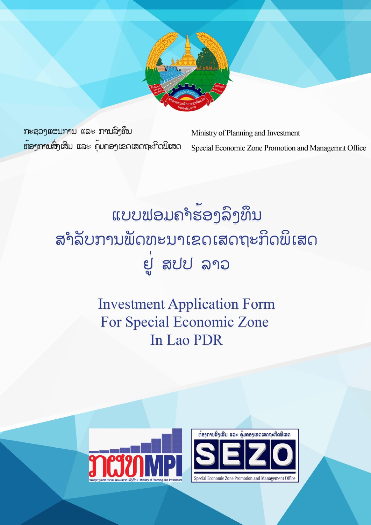

ກະຊວງແຜນການ ແລະ ການລິງທຶນ ທ້ອງການສິ່ງເສີມ ແລະ ຄຸ້ມຄອງເຂດເສດຖະກິດພິເສດ

Ministry of Planning and Investment Special Economic Zone Promotion and Managemnt Office

# ແບບຟອມຄຳຮ້ອງລິງທຶນ ສຳລັບການພັດທະນາເຂດເສດຖະກິດພິເສດ ยู่ สปป ลาว

## **Investment Application Form For Special Economic Zone** In Lao PDR

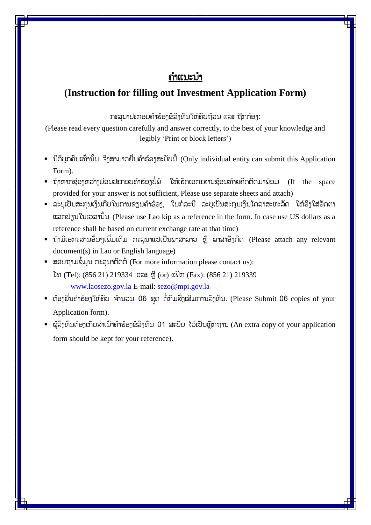## ຄຳແນະນຳ

### **(Instruction for filling out Investment Application Form)**

ກະລຸນາປະກອບຄຳຮ້ອງຂໍລິງທຶນໃຫ້ຄົບຖ້ວນ ແລະ ຖືກຕ້ອງ:

(Please read every question carefully and answer correctly, to the best of your knowledge and legibly 'Print or block letters')

- $\,$  ນິຕິບຸກຄົນເທົ່ານັ້ນ ຈຶ່ງສາມາດຍື່ນຄຳຮ້ອງສະບັບນີ້ (Only individual entity can submit this Application Form).
- $\,$  ້ ຖ້າຫາກຊ່ອງຫວ່າງບ່ອນປະກອບຄຳຮ້ອງບໍ່ພໍ່ ໃຫ້ເຮັດເອກະສານຊ້ອນທ້າຍຄັດຕິດມາພ້ອມ (If the space provided for your answer is not sufficient, Please use separate sheets and attach)
- ລະບຸເປັນສະກຸນເງິນກີບໃນການຂຽນຄຳຮ້ອງ, ໃນກໍລະນີ ລະບຸເປັນສະກຸນເງິນໂດລາສະຫະລັດ ໃຫ້ອິງໃສ່ອັດຕາ ແລກປ່ຽນໃນເວລຳນັັ້ນ (Please use Lao kip as a reference in the form. In case use US dollars as a reference shall be based on current exchange rate at that time)
- $\bullet$  ຖ້າມີເອກະສານອື່ນໆເພີ່ມເຕີມ ກະລຸນາແປເປັນພາສາລາວ ຫຼື ພາສາອັງກິດ (Please attach any relevant document(s) in Lao or English language)
- ສອບຖຳມຂໍໍ້ມູນ ກະລຸນຳຕິດຕໍໍ່ (For more information please contact us): ໂທ (Tel): (856 21) 219334 ແລະ ຫຼື (or) ແຝັກ (Fax): (856 21) 219339 [www.laosezo.gov.la](http://www.laosezo.gov.la/) E-mail: [sezo@mpi.gov.la](mailto:sezo@mpi.gov.la)
- ຕ້ອງຍື່ນຄຳຮ້ອງໃຫ້ຄົບ ຈຳນວນ 06 ຊຸດ ຕໍ່ກົມສິ່ງເສີມການລົງທຶນ. (Please Submit 06 copies of your Application form).
- $\,$  ຜູ້ລິງທຶນຕ້ອງເກັບສຳເນົາຄຳຮ້ອງຂໍລິງທຶນ 01 ສະບັບ ໄວ້ເປັນຫຼັກຖານ (An extra copy of your application form should be kept for your reference).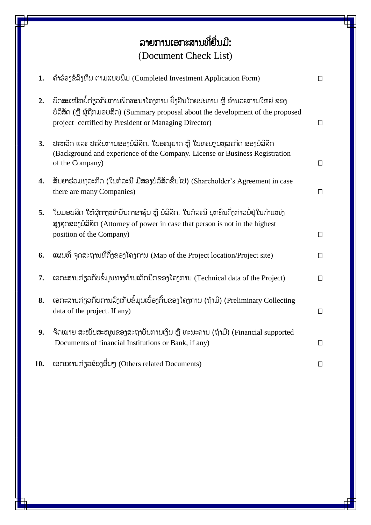## <u>ລາຍການເອກະສານທີ່ຍື່ນມີ:</u> (Document Check List)

| 1.  | ຄໍາຮ້ອງຂໍລິງທຶນ ຕາມແບບພິມ (Completed Investment Application Form)                                                                                                                                                      |        |
|-----|------------------------------------------------------------------------------------------------------------------------------------------------------------------------------------------------------------------------|--------|
| 2.  | ບົດສະເໜີຫຍໍ້ກ່ຽວກັບການພັດທະນາໂຄງການ ຢັ້ງຢືນໂດຍປະທານ ຫຼື ອຳນວຍການໃຫຍ່ ຂອງ<br>ບໍລິສັດ (ຫຼື ຜູ້ຖືກມອບສິດ) (Summary proposal about the development of the proposed<br>project certified by President or Managing Director) | $\Box$ |
| 3.  | ປະຫວັດ ແລະ ປະສິບການຂອງບໍລິສັດ. ໃບອະນຸຍາດ ຫຼື ໃບທະບຽນທຸລະກິດ ຂອງບໍລິສັດ<br>(Background and experience of the Company. License or Business Registration<br>of the Company)                                               | $\Box$ |
| 4.  | ສັນຍາຮ່ວມທຸລະກິດ (ໃນກໍລະນີ ມີສອງບໍລິສັດຂື້ນໄປ) (Shareholder's Agreement in case<br>there are many Companies)                                                                                                           | $\Box$ |
| 5.  | ໃບມອບສິດ ໃຫ້ຜູ້ຕາງໜ້າບັນດາຂາຮຸ້ນ ຫຼື ບໍລິສັດ. ໃນກໍລະນີ ບຸກຄົນດັ່ງກ່າວບໍ່ຢູ່ໃນຕຳແໜ່ງ<br>ສູງສຸດຂອງບໍລິສັດ (Attorney of power in case that person is not in the highest<br>position of the Company)                       | $\Box$ |
| 6.  | ແຜນທີ່ ຈຸດສະຖານທີ່ຕັ້ງຂອງໂຄງການ (Map of the Project location/Project site)                                                                                                                                             | $\Box$ |
| 7.  | ເອກະສານກ່ຽວກັບຂໍ້ມູນທາງດ້ານເຕັກນິກຂອງໂຄງການ (Technical data of the Project)                                                                                                                                            | ◧      |
| 8.  | ເອກະສານກ່ຽວກັບການລິງເກັບຂໍ້ມູນເບື້ອງຕົ້ນຂອງໂຄງການ (ຖ້າມີ) (Preliminary Collecting<br>data of the project. If any)                                                                                                      | $\Box$ |
| 9.  | ຈົດໝາຍ ສະໜັບສະໜຸນຂອງສະຖາບັນການເງິນ ຫຼື ທະນະຄານ (ຖ້າມີ) (Financial supported<br>Documents of financial Institutions or Bank, if any)                                                                                    | $\Box$ |
| 10. | ເອກະສານກ່ຽວຂ້ອງອື່ນໆ (Others related Documents)                                                                                                                                                                        | $\Box$ |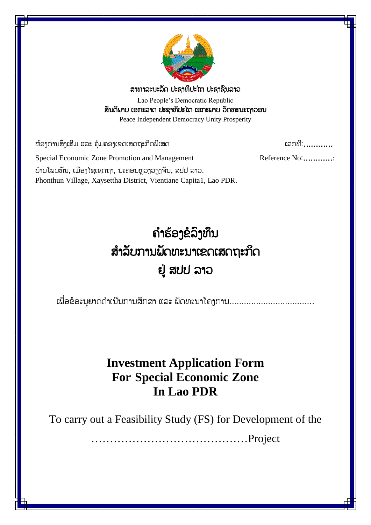

ສຳທຳລະນະລັດ ປະຊຳທິປະໄຕ ປະຊຳຊົນລຳວ

Lao People's Democratic Republic ສັນຕິພຳບ ເອກະລຳດ ປະຊຳທິປະໄຕ ເອກະພຳບ ວັດທະນະຖຳວອນ Peace Independent Democracy Unity Prosperity

ຫ້ອງກຳນສົົ່ງເສ ມ ແລະ ຄຸ້ມຄອງເຂດເສດຖະກິດພິເສດ ເລກທ :…………

Special Economic Zone Promotion and Management Reference No:............... ບ້ານໂພນທັນ, ເມືອງໄຊເຊດຖາ, ນະຄອນຫວງວຽງຈັນ, ສປປ ລາວ. Phonthun Village, Xaysettha District, Vientiane Capita1, Lao PDR.

# ຄ ຳຮ້ອງຂໍລົງທຶນ ສ ຳລັບກຳນພັດທະນຳເຂດເສດຖະກິດ ຢູ່ ສປປ ລຳວ

ເພື່ອຂໍອະນຸຍາດດຳເນີນການສຶກສາ ແລະ ພັດທະນາໂຄງການ...................................

## **Investment Application Form For Special Economic Zone In Lao PDR**

To carry out a Feasibility Study (FS) for Development of the

……………………………………Project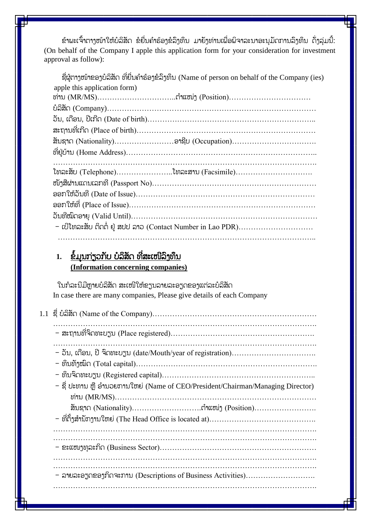ຂ້າພະເຈົ້າຕາງໜ້າໃຫ້ບໍລິສັດ ຂໍຍື່ນຄຳຮ້ອງຂໍລິງທຶນ ມາຍັງທ່ານເພື່ອພິຈາລະນາອະນຸມັດການລຶງທຶນ ດັ່ງລຸ່ມນີ້: (On behalf of the Company I apple this application form for your consideration for investment approval as follow):

|                              | ຊື່ຜູ້ຕາງໜ້າຂອງບໍລິສັດ ທີ່ຍື່ນຄຳຮ້ອງຂໍລິງທຶນ (Name of person on behalf of the Company (ies) |
|------------------------------|---------------------------------------------------------------------------------------------|
| apple this application form) |                                                                                             |
|                              |                                                                                             |
|                              |                                                                                             |
|                              |                                                                                             |
|                              |                                                                                             |
|                              |                                                                                             |
|                              |                                                                                             |
|                              |                                                                                             |
|                              |                                                                                             |
|                              | ໂທລະສັບ (Telephone)ໂທລະສານ (Facsimile)                                                      |
|                              |                                                                                             |
|                              |                                                                                             |
|                              |                                                                                             |
|                              |                                                                                             |

#### 1. <u>ຂໍ້ມູນກ່ຽວກັບ ບໍລິສັດ ທີ່ສະເໜີລິງທຶນ</u> **(Information concerning companies)**

ໃນກໍລະນີມີຫຼາຍບໍລິສັດ ສະເໜີໃຫ້ຂຽນລາຍລະອຽດຂອງແຕ່ລະບໍລິສັດ In case there are many companies, Please give details of each Company

|  | - ຊື່ ປະທານ ຫຼື ອຳນວຍການໃຫຍ່ (Name of CEO/President/Chairman/Managing Director) |  |  |  |  |
|--|---------------------------------------------------------------------------------|--|--|--|--|
|  |                                                                                 |  |  |  |  |
|  |                                                                                 |  |  |  |  |
|  |                                                                                 |  |  |  |  |
|  |                                                                                 |  |  |  |  |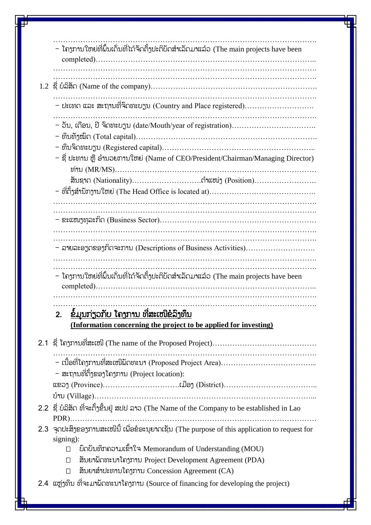|                                              | – โຄງການໃຫຍ່ທີ່ຝົ້ນເດັ່ນທີ່ໄດ້ຈັດຕັ້ງປະຕິບັດສຳເລັດມາແລ້ວ (The main projects have been                                      |  |  |  |  |
|----------------------------------------------|----------------------------------------------------------------------------------------------------------------------------|--|--|--|--|
|                                              |                                                                                                                            |  |  |  |  |
|                                              | – ປະເທດ ແລະ ສະຖານທີ່ຈົດທະບຽນ (Country and Place registered)                                                                |  |  |  |  |
|                                              | – ຊື່ ປະທານ ຫຼື ອຳນວຍການໃຫຍ່ (Name of CEO/President/Chairman/Managing Director)                                            |  |  |  |  |
|                                              |                                                                                                                            |  |  |  |  |
|                                              |                                                                                                                            |  |  |  |  |
|                                              |                                                                                                                            |  |  |  |  |
|                                              | .<br>– ລາຍລະອຽດຂອງກິດຈະການ (Descriptions of Business Activities)                                                           |  |  |  |  |
|                                              | – ໂຄງການໃຫຍ່ທີ່ພົ້ນເດັ່ນທີ່ໄດ້ຈັດຕັ້ງປະຕິບັດສຳເລັດມາແລ້ວ (The main projects have been                                      |  |  |  |  |
| <u>ຂໍ້ມຸນກ່ຽວກັບ ໂຄງການ ທີ່ສະເໜີຂໍລິງທຶນ</u> |                                                                                                                            |  |  |  |  |
|                                              | (Information concerning the project to be applied for investing)                                                           |  |  |  |  |
|                                              |                                                                                                                            |  |  |  |  |
|                                              | – ສະຖານທີ່ຕັ້ງຂອງໂຄງການ (Project location):                                                                                |  |  |  |  |
|                                              |                                                                                                                            |  |  |  |  |
|                                              | 2.2 ຊື່ ບໍລິສັດ ທີ່ຈະຕັ້ງຂື້ນຢູ່ ສປປ ລາວ (The Name of the Company to be established in Lao                                 |  |  |  |  |
|                                              | 2.3 ຈຸດປະສິງຂອງການສະເໜີນີ້ ເພື່ອຂໍອະນຸຍາດເຊັນ (The purpose of this application to request for<br>signing):                 |  |  |  |  |
|                                              | บิดบับทึกถอามเอ็าใจ Memorandum of Understanding (MOU)<br>П                                                                 |  |  |  |  |
|                                              | สับยาผีกทะบาโถากาบ Project Development Agreement (PDA)<br>$\Box$<br>สับยาสำปะທาบโถງການ Concession Agreement (CA)<br>$\Box$ |  |  |  |  |
|                                              | 2.4 ແຫຼ່ງທຶນ ທີ່ຈະມາຝັດທະນາໂຄງການ (Source of financing for developing the project)                                         |  |  |  |  |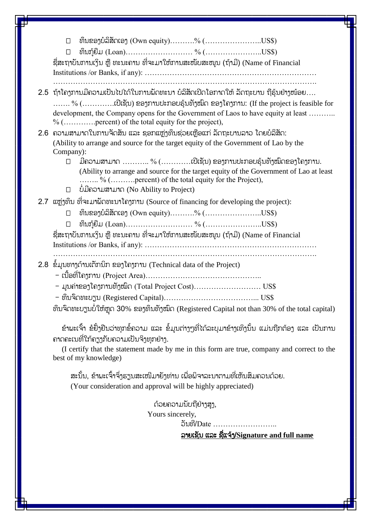ທຶນຂອງບໍລິສັດເອງ (Own equity)……….% (…………………..US\$)  $\Box$  ທຶນກ້ຍືມ (Loan)……………………………………………………US\$) ຊື່ສະຖາບັນການເງິນ ຫຼື ທະນະຄານ ທີ່ຈະມາໃຫ້ການສະໜັບສະໜູນ (ຖ້າມີ) (Name of Financial Institutions /or Banks, if any): …………………………………………………………… ……………………………………………………………………………………………. 2.5 ຖ້ຳໂຄງກຳນມ ຄວຳມເປັນໄປໄດ້ໃນກຳນພັດທະນຳ ບໍລິສັດເປີດໂອກຳດໃຫ້ ລັດຖະບຳນ ຖືຮຸ້ນຢ່ຳງໜ້ອຍ…. ……. % (………….ເປີເຊັນ) ຂອງກຳນປະກອບຮຸ້ນທັງໝົດ ຂອງໂຄງກຳນ: (If the project is feasible for development, the Company opens for the Government of Laos to have equity at least ……... % (………….percent) of the total equity for the project), 2.6 ຄວາມສາມາດໃນການຈັດສັນ ແລະ ຊອກແຫ່ງທຶນຊ່ວຍເຫືອແກ່ ລັດຖະບານລາວ ໂດຍບໍລິສັດ: (Ability to arrange and source for the target equity of the Government of Lao by the Company): ມ ຄວຳມສຳມຳດ ……….. % (…………ເປີເຊັນ) ຂອງກຳນປະກອບຮຸ້ນທັງໝົດຂອງໂຄງກຳນ. (Ability to arrange and source for the target equity of the Government of Lao at least …….. % (……….percent) of the total equity for the Project),  $\Box$  ບໍ່ມີຄວາມສາມາດ (No Ability to Project) 2.7 ແຫ່ງທຶນ ທີ່ຈະມາພັດທະນາໂຄງການ (Source of financing for developing the project):  $□$  ທຶນຂອງບໍລິສັດເອງ (Own equity)……….% (………………………US\$) ທຶນກູ້ຍືມ (Loan)……………………… % (…………………..US\$) ຊື່ສະຖາບັນການເງິນ ຫຼື ທະນະຄານ ທີ່ຈະມາໃຫ້ການສະໜັບສະໜູນ (ຖ້າມີ) (Name of Financial Institutions /or Banks, if any): …………………………………………………………… 2.8 ຂໍໍ້ມູນທຳງດ້ຳນເຕັກນິກ ຂອງໂຄງກຳນ (Technical data of the Project) – ເນື້ອທີ່ໂຄງການ (Project Area)……………………………………… - ມູນຄ່ຳຂອງໂຄງກຳນທັງໝົດ (Total Project Cost)……………………… US\$ - ທຶນຈົດທະບຽນ (Registered Capital)………………………………... US\$ ທຶນຈິດທະບຽນບໍ່ໃຫ້ຫຼຸດ 30% ຂອງທຶນທັງໝົດ (Registered Capital not than 30% of the total capital) ຂ້າພະເຈົ້າ ຂໍຢັ້ງຢືນວ່າທຸກຂໍ້ຄວາມ ແລະ ຂໍ້ມູນຕ່າງໆທີ່ໄດ້ລະບຸມາຂ້າງເທິງນັ້ນ ແມ່ນຖືກຕ້ອງ ແລະ ເປັນການ ຄຳດຄະເນທ ຶ່ໃກ້ຄຽງກັບຄວຳມເປັນຈິງທຸກຢ່ຳງ. (I certify that the statement made by me in this form are true, company and correct to the best of my knowledge) ສະນັ້ນ, ຂ້າພະເຈົ້າຈຶ່ງຮຽນສະເໜີມາຍັງທ່ານ ເພື່ອພິຈາລະນາຕາມທີ່ເຫັນສິມຄວນດ້ວຍ. (Your consideration and approval will be highly appreciated) ດ້ວຍຄວຳມນັບຖືຢ່ຳງສູງ, Yours sincerely, ວັນທີ/Date ......................... ລຳຍເຊັນ ແລະ ຊືຶ່ແຈ້ງ/**Signature and full name**